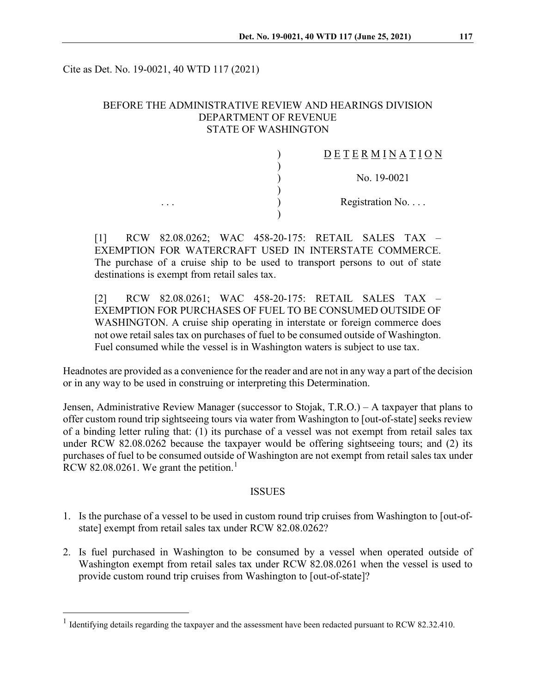Cite as Det. No. 19-0021, 40 WTD 117 (2021)

## BEFORE THE ADMINISTRATIVE REVIEW AND HEARINGS DIVISION DEPARTMENT OF REVENUE STATE OF WASHINGTON

) )

)

)

## $\underline{D} \underline{E} \underline{T} \underline{E} \underline{R} \underline{M} \underline{I} \underline{N} \underline{A} \underline{T} \underline{I} \underline{O} \underline{N}$

) No. 19-0021

... Registration No....

[1] RCW 82.08.0262; WAC 458-20-175: RETAIL SALES TAX – EXEMPTION FOR WATERCRAFT USED IN INTERSTATE COMMERCE. The purchase of a cruise ship to be used to transport persons to out of state destinations is exempt from retail sales tax.

[2] RCW 82.08.0261; WAC 458-20-175: RETAIL SALES TAX – EXEMPTION FOR PURCHASES OF FUEL TO BE CONSUMED OUTSIDE OF WASHINGTON. A cruise ship operating in interstate or foreign commerce does not owe retail sales tax on purchases of fuel to be consumed outside of Washington. Fuel consumed while the vessel is in Washington waters is subject to use tax.

Headnotes are provided as a convenience for the reader and are not in any way a part of the decision or in any way to be used in construing or interpreting this Determination.

Jensen, Administrative Review Manager (successor to Stojak, T.R.O.) – A taxpayer that plans to offer custom round trip sightseeing tours via water from Washington to [out-of-state] seeks review of a binding letter ruling that: (1) its purchase of a vessel was not exempt from retail sales tax under RCW 82.08.0262 because the taxpayer would be offering sightseeing tours; and (2) its purchases of fuel to be consumed outside of Washington are not exempt from retail sales tax under RCW 82.08.026[1](#page-0-0). We grant the petition.<sup>1</sup>

#### ISSUES

- 1. Is the purchase of a vessel to be used in custom round trip cruises from Washington to [out-ofstate] exempt from retail sales tax under RCW 82.08.0262?
- 2. Is fuel purchased in Washington to be consumed by a vessel when operated outside of Washington exempt from retail sales tax under RCW 82.08.0261 when the vessel is used to provide custom round trip cruises from Washington to [out-of-state]?

<span id="page-0-0"></span><sup>&</sup>lt;sup>1</sup> Identifying details regarding the taxpayer and the assessment have been redacted pursuant to RCW 82.32.410.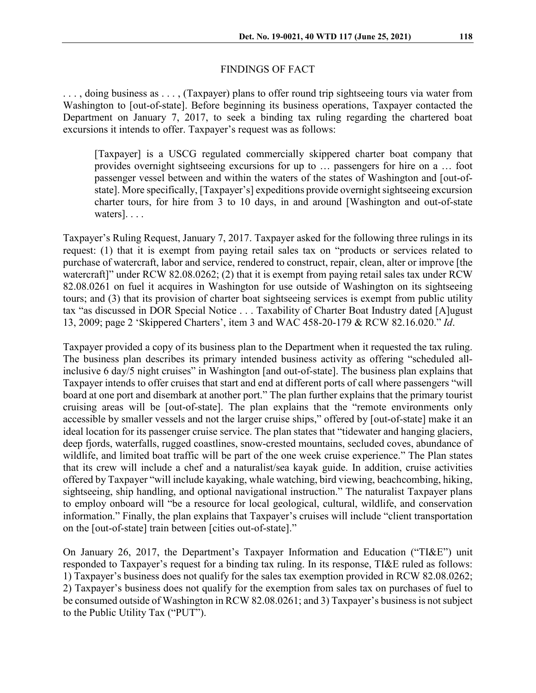#### FINDINGS OF FACT

. . . , doing business as . . . , (Taxpayer) plans to offer round trip sightseeing tours via water from Washington to [out-of-state]. Before beginning its business operations, Taxpayer contacted the Department on January 7, 2017, to seek a binding tax ruling regarding the chartered boat excursions it intends to offer. Taxpayer's request was as follows:

[Taxpayer] is a USCG regulated commercially skippered charter boat company that provides overnight sightseeing excursions for up to … passengers for hire on a … foot passenger vessel between and within the waters of the states of Washington and [out-ofstate]. More specifically, [Taxpayer's] expeditions provide overnight sightseeing excursion charter tours, for hire from 3 to 10 days, in and around [Washington and out-of-state waters]. . . .

Taxpayer's Ruling Request, January 7, 2017. Taxpayer asked for the following three rulings in its request: (1) that it is exempt from paying retail sales tax on "products or services related to purchase of watercraft, labor and service, rendered to construct, repair, clean, alter or improve [the watercraft]" under RCW 82.08.0262; (2) that it is exempt from paying retail sales tax under RCW 82.08.0261 on fuel it acquires in Washington for use outside of Washington on its sightseeing tours; and (3) that its provision of charter boat sightseeing services is exempt from public utility tax "as discussed in DOR Special Notice . . . Taxability of Charter Boat Industry dated [A]ugust 13, 2009; page 2 'Skippered Charters', item 3 and WAC 458-20-179 & RCW 82.16.020." *Id*.

Taxpayer provided a copy of its business plan to the Department when it requested the tax ruling. The business plan describes its primary intended business activity as offering "scheduled allinclusive 6 day/5 night cruises" in Washington [and out-of-state]. The business plan explains that Taxpayer intends to offer cruises that start and end at different ports of call where passengers "will board at one port and disembark at another port." The plan further explains that the primary tourist cruising areas will be [out-of-state]. The plan explains that the "remote environments only accessible by smaller vessels and not the larger cruise ships," offered by [out-of-state] make it an ideal location for its passenger cruise service. The plan states that "tidewater and hanging glaciers, deep fjords, waterfalls, rugged coastlines, snow-crested mountains, secluded coves, abundance of wildlife, and limited boat traffic will be part of the one week cruise experience." The Plan states that its crew will include a chef and a naturalist/sea kayak guide. In addition, cruise activities offered by Taxpayer "will include kayaking, whale watching, bird viewing, beachcombing, hiking, sightseeing, ship handling, and optional navigational instruction." The naturalist Taxpayer plans to employ onboard will "be a resource for local geological, cultural, wildlife, and conservation information." Finally, the plan explains that Taxpayer's cruises will include "client transportation on the [out-of-state] train between [cities out-of-state]."

On January 26, 2017, the Department's Taxpayer Information and Education ("TI&E") unit responded to Taxpayer's request for a binding tax ruling. In its response, TI&E ruled as follows: 1) Taxpayer's business does not qualify for the sales tax exemption provided in RCW 82.08.0262; 2) Taxpayer's business does not qualify for the exemption from sales tax on purchases of fuel to be consumed outside of Washington in RCW 82.08.0261; and 3) Taxpayer's business is not subject to the Public Utility Tax ("PUT").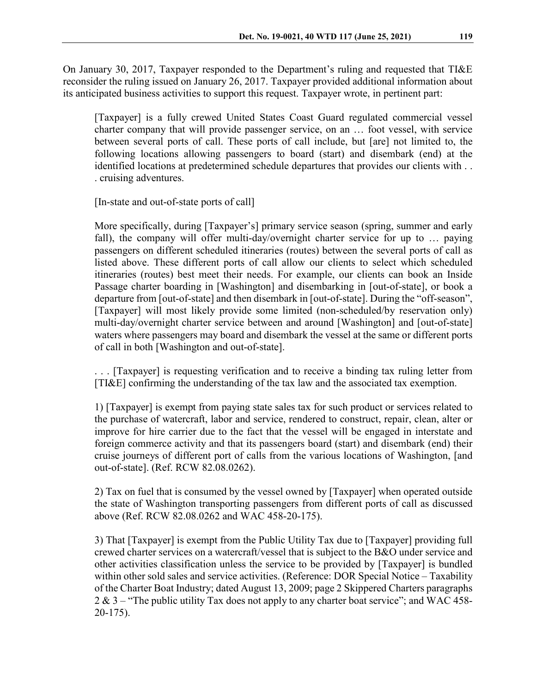On January 30, 2017, Taxpayer responded to the Department's ruling and requested that TI&E reconsider the ruling issued on January 26, 2017. Taxpayer provided additional information about its anticipated business activities to support this request. Taxpayer wrote, in pertinent part:

[Taxpayer] is a fully crewed United States Coast Guard regulated commercial vessel charter company that will provide passenger service, on an … foot vessel, with service between several ports of call. These ports of call include, but [are] not limited to, the following locations allowing passengers to board (start) and disembark (end) at the identified locations at predetermined schedule departures that provides our clients with . . . cruising adventures.

[In-state and out-of-state ports of call]

More specifically, during [Taxpayer's] primary service season (spring, summer and early fall), the company will offer multi-day/overnight charter service for up to … paying passengers on different scheduled itineraries (routes) between the several ports of call as listed above. These different ports of call allow our clients to select which scheduled itineraries (routes) best meet their needs. For example, our clients can book an Inside Passage charter boarding in [Washington] and disembarking in [out-of-state], or book a departure from [out-of-state] and then disembark in [out-of-state]. During the "off-season", [Taxpayer] will most likely provide some limited (non-scheduled/by reservation only) multi-day/overnight charter service between and around [Washington] and [out-of-state] waters where passengers may board and disembark the vessel at the same or different ports of call in both [Washington and out-of-state].

. . . [Taxpayer] is requesting verification and to receive a binding tax ruling letter from [TI&E] confirming the understanding of the tax law and the associated tax exemption.

1) [Taxpayer] is exempt from paying state sales tax for such product or services related to the purchase of watercraft, labor and service, rendered to construct, repair, clean, alter or improve for hire carrier due to the fact that the vessel will be engaged in interstate and foreign commerce activity and that its passengers board (start) and disembark (end) their cruise journeys of different port of calls from the various locations of Washington, [and out-of-state]. (Ref. RCW 82.08.0262).

2) Tax on fuel that is consumed by the vessel owned by [Taxpayer] when operated outside the state of Washington transporting passengers from different ports of call as discussed above (Ref. RCW 82.08.0262 and WAC 458-20-175).

3) That [Taxpayer] is exempt from the Public Utility Tax due to [Taxpayer] providing full crewed charter services on a watercraft/vessel that is subject to the B&O under service and other activities classification unless the service to be provided by [Taxpayer] is bundled within other sold sales and service activities. (Reference: DOR Special Notice – Taxability of the Charter Boat Industry; dated August 13, 2009; page 2 Skippered Charters paragraphs 2 & 3 – "The public utility Tax does not apply to any charter boat service"; and WAC 458-20-175).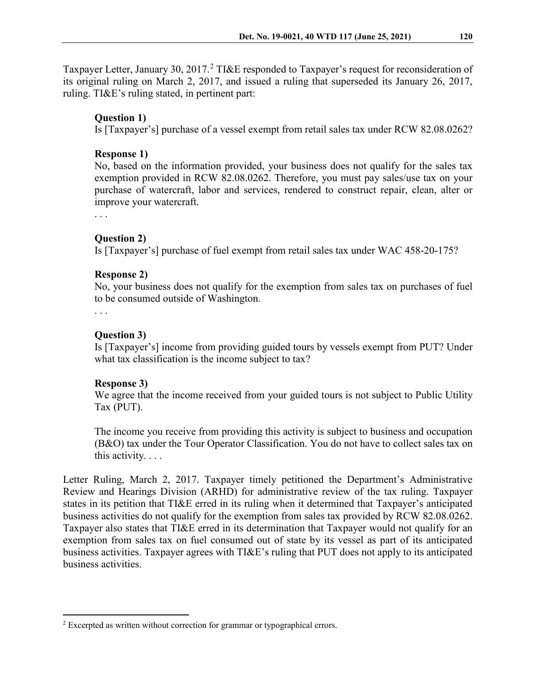Taxpayer Letter, January 30, [2](#page-3-0)017.<sup>2</sup> TI&E responded to Taxpayer's request for reconsideration of its original ruling on March 2, 2017, and issued a ruling that superseded its January 26, 2017, ruling. TI&E's ruling stated, in pertinent part:

### **Question 1)**

Is [Taxpayer's] purchase of a vessel exempt from retail sales tax under RCW 82.08.0262?

#### **Response 1)**

No, based on the information provided, your business does not qualify for the sales tax exemption provided in RCW 82.08.0262. Therefore, you must pay sales/use tax on your purchase of watercraft, labor and services, rendered to construct repair, clean, alter or improve your watercraft.

. . .

### **Question 2)**

Is [Taxpayer's] purchase of fuel exempt from retail sales tax under WAC 458-20-175?

### **Response 2)**

No, your business does not qualify for the exemption from sales tax on purchases of fuel to be consumed outside of Washington.

. . .

### **Question 3)**

Is [Taxpayer's] income from providing guided tours by vessels exempt from PUT? Under what tax classification is the income subject to tax?

#### **Response 3)**

We agree that the income received from your guided tours is not subject to Public Utility Tax (PUT).

The income you receive from providing this activity is subject to business and occupation (B&O) tax under the Tour Operator Classification. You do not have to collect sales tax on this activity. . . .

Letter Ruling, March 2, 2017. Taxpayer timely petitioned the Department's Administrative Review and Hearings Division (ARHD) for administrative review of the tax ruling. Taxpayer states in its petition that TI&E erred in its ruling when it determined that Taxpayer's anticipated business activities do not qualify for the exemption from sales tax provided by RCW 82.08.0262. Taxpayer also states that TI&E erred in its determination that Taxpayer would not qualify for an exemption from sales tax on fuel consumed out of state by its vessel as part of its anticipated business activities. Taxpayer agrees with TI&E's ruling that PUT does not apply to its anticipated business activities.

<span id="page-3-0"></span><sup>&</sup>lt;sup>2</sup> Excerpted as written without correction for grammar or typographical errors.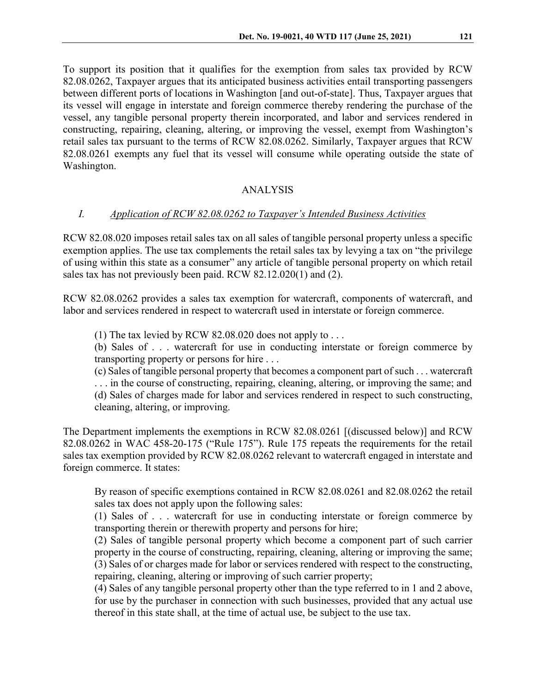To support its position that it qualifies for the exemption from sales tax provided by RCW 82.08.0262, Taxpayer argues that its anticipated business activities entail transporting passengers between different ports of locations in Washington [and out-of-state]. Thus, Taxpayer argues that its vessel will engage in interstate and foreign commerce thereby rendering the purchase of the vessel, any tangible personal property therein incorporated, and labor and services rendered in constructing, repairing, cleaning, altering, or improving the vessel, exempt from Washington's retail sales tax pursuant to the terms of RCW 82.08.0262. Similarly, Taxpayer argues that RCW 82.08.0261 exempts any fuel that its vessel will consume while operating outside the state of Washington.

# ANALYSIS

# *I. Application of RCW 82.08.0262 to Taxpayer's Intended Business Activities*

RCW 82.08.020 imposes retail sales tax on all sales of tangible personal property unless a specific exemption applies. The use tax complements the retail sales tax by levying a tax on "the privilege of using within this state as a consumer" any article of tangible personal property on which retail sales tax has not previously been paid. RCW 82.12.020(1) and (2).

RCW 82.08.0262 provides a sales tax exemption for watercraft, components of watercraft, and labor and services rendered in respect to watercraft used in interstate or foreign commerce.

(1) The tax levied by RCW 82.08.020 does not apply to  $\dots$ 

(b) Sales of . . . watercraft for use in conducting interstate or foreign commerce by transporting property or persons for hire . . .

(c) Sales of tangible personal property that becomes a component part of such . . . watercraft . . . in the course of constructing, repairing, cleaning, altering, or improving the same; and (d) Sales of charges made for labor and services rendered in respect to such constructing, cleaning, altering, or improving.

The Department implements the exemptions in RCW 82.08.0261 [(discussed below)] and RCW 82.08.0262 in WAC 458-20-175 ("Rule 175"). Rule 175 repeats the requirements for the retail sales tax exemption provided by RCW 82.08.0262 relevant to watercraft engaged in interstate and foreign commerce. It states:

By reason of specific exemptions contained in RCW 82.08.0261 and 82.08.0262 the retail sales tax does not apply upon the following sales:

(1) Sales of . . . watercraft for use in conducting interstate or foreign commerce by transporting therein or therewith property and persons for hire;

(2) Sales of tangible personal property which become a component part of such carrier property in the course of constructing, repairing, cleaning, altering or improving the same; (3) Sales of or charges made for labor or services rendered with respect to the constructing, repairing, cleaning, altering or improving of such carrier property;

(4) Sales of any tangible personal property other than the type referred to in 1 and 2 above, for use by the purchaser in connection with such businesses, provided that any actual use thereof in this state shall, at the time of actual use, be subject to the use tax.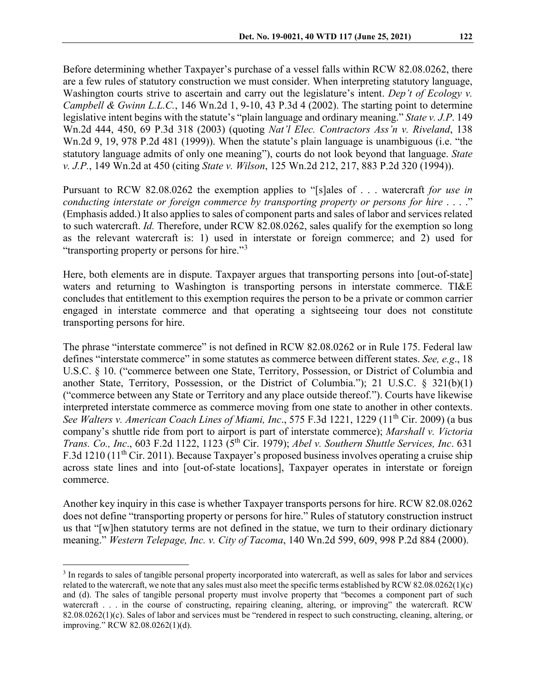Before determining whether Taxpayer's purchase of a vessel falls within RCW 82.08.0262, there are a few rules of statutory construction we must consider. When interpreting statutory language, Washington courts strive to ascertain and carry out the legislature's intent. *Dep't of Ecology v. Campbell & Gwinn L.L.C.*, 146 Wn.2d 1, 9-10, 43 P.3d 4 (2002). The starting point to determine legislative intent begins with the statute's "plain language and ordinary meaning." *State v. J.P*. 149 Wn.2d 444, 450, 69 P.3d 318 (2003) (quoting *Nat'l Elec. Contractors Ass'n v. Riveland*, 138 Wn.2d 9, 19, 978 P.2d 481 (1999)). When the statute's plain language is unambiguous (i.e. "the statutory language admits of only one meaning"), courts do not look beyond that language. *State v. J.P.*, 149 Wn.2d at 450 (citing *State v. Wilson*, 125 Wn.2d 212, 217, 883 P.2d 320 (1994)).

Pursuant to RCW 82.08.0262 the exemption applies to "[s]ales of . . . watercraft *for use in conducting interstate or foreign commerce by transporting property or persons for hire* . . . ." (Emphasis added.) It also applies to sales of component parts and sales of labor and services related to such watercraft. *Id.* Therefore, under RCW 82.08.0262, sales qualify for the exemption so long as the relevant watercraft is: 1) used in interstate or foreign commerce; and 2) used for "transporting property or persons for hire."[3](#page-5-0)

Here, both elements are in dispute. Taxpayer argues that transporting persons into [out-of-state] waters and returning to Washington is transporting persons in interstate commerce. TI&E concludes that entitlement to this exemption requires the person to be a private or common carrier engaged in interstate commerce and that operating a sightseeing tour does not constitute transporting persons for hire.

The phrase "interstate commerce" is not defined in RCW 82.08.0262 or in Rule 175. Federal law defines "interstate commerce" in some statutes as commerce between different states. *See, e.g*., 18 U.S.C. § 10. ("commerce between one State, Territory, Possession, or District of Columbia and another State, Territory, Possession, or the District of Columbia."); 21 U.S.C. § 321(b)(1) ("commerce between any State or Territory and any place outside thereof."). Courts have likewise interpreted interstate commerce as commerce moving from one state to another in other contexts. *See Walters v. American Coach Lines of Miami, Inc.*, 575 F.3d 1221, 1229 (11<sup>th</sup> Cir. 2009) (a bus company's shuttle ride from port to airport is part of interstate commerce); *Marshall v. Victoria Trans. Co., Inc*., 603 F.2d 1122, 1123 (5th Cir. 1979); *Abel v. Southern Shuttle Services, Inc*. 631 F.3d 1210 (11th Cir. 2011). Because Taxpayer's proposed business involves operating a cruise ship across state lines and into [out-of-state locations], Taxpayer operates in interstate or foreign commerce.

Another key inquiry in this case is whether Taxpayer transports persons for hire. RCW 82.08.0262 does not define "transporting property or persons for hire." Rules of statutory construction instruct us that "[w]hen statutory terms are not defined in the statue, we turn to their ordinary dictionary meaning." *Western Telepage, Inc. v. City of Tacoma*, 140 Wn.2d 599, 609, 998 P.2d 884 (2000).

<span id="page-5-0"></span> <sup>3</sup> In regards to sales of tangible personal property incorporated into watercraft, as well as sales for labor and services related to the watercraft, we note that any sales must also meet the specific terms established by RCW 82.08.0262(1)(c) and (d). The sales of tangible personal property must involve property that "becomes a component part of such watercraft . . . in the course of constructing, repairing cleaning, altering, or improving" the watercraft. RCW 82.08.0262(1)(c). Sales of labor and services must be "rendered in respect to such constructing, cleaning, altering, or improving." RCW 82.08.0262(1)(d).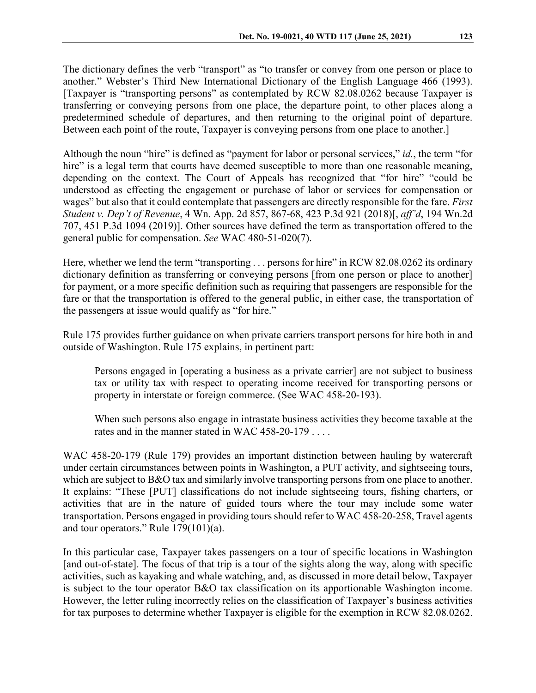The dictionary defines the verb "transport" as "to transfer or convey from one person or place to another." Webster's Third New International Dictionary of the English Language 466 (1993). [Taxpayer is "transporting persons" as contemplated by RCW 82.08.0262 because Taxpayer is transferring or conveying persons from one place, the departure point, to other places along a predetermined schedule of departures, and then returning to the original point of departure. Between each point of the route, Taxpayer is conveying persons from one place to another.]

Although the noun "hire" is defined as "payment for labor or personal services," *id.*, the term "for hire" is a legal term that courts have deemed susceptible to more than one reasonable meaning, depending on the context. The Court of Appeals has recognized that "for hire" "could be understood as effecting the engagement or purchase of labor or services for compensation or wages" but also that it could contemplate that passengers are directly responsible for the fare. *First Student v. Dep't of Revenue*, 4 Wn. App. 2d 857, 867-68, 423 P.3d 921 (2018)[, *aff'd*, 194 Wn.2d 707, 451 P.3d 1094 (2019)]. Other sources have defined the term as transportation offered to the general public for compensation. *See* WAC 480-51-020(7).

Here, whether we lend the term "transporting . . . persons for hire" in RCW 82.08.0262 its ordinary dictionary definition as transferring or conveying persons [from one person or place to another] for payment, or a more specific definition such as requiring that passengers are responsible for the fare or that the transportation is offered to the general public, in either case, the transportation of the passengers at issue would qualify as "for hire."

Rule 175 provides further guidance on when private carriers transport persons for hire both in and outside of Washington. Rule 175 explains, in pertinent part:

Persons engaged in [operating a business as a private carrier] are not subject to business tax or utility tax with respect to operating income received for transporting persons or property in interstate or foreign commerce. (See WAC 458-20-193).

When such persons also engage in intrastate business activities they become taxable at the rates and in the manner stated in WAC 458-20-179 . . . .

WAC 458-20-179 (Rule 179) provides an important distinction between hauling by watercraft under certain circumstances between points in Washington, a PUT activity, and sightseeing tours, which are subject to B&O tax and similarly involve transporting persons from one place to another. It explains: "These [PUT] classifications do not include sightseeing tours, fishing charters, or activities that are in the nature of guided tours where the tour may include some water transportation. Persons engaged in providing tours should refer to WAC 458-20-258, Travel agents and tour operators." Rule 179(101)(a).

In this particular case, Taxpayer takes passengers on a tour of specific locations in Washington [and out-of-state]. The focus of that trip is a tour of the sights along the way, along with specific activities, such as kayaking and whale watching, and, as discussed in more detail below, Taxpayer is subject to the tour operator B&O tax classification on its apportionable Washington income. However, the letter ruling incorrectly relies on the classification of Taxpayer's business activities for tax purposes to determine whether Taxpayer is eligible for the exemption in RCW 82.08.0262.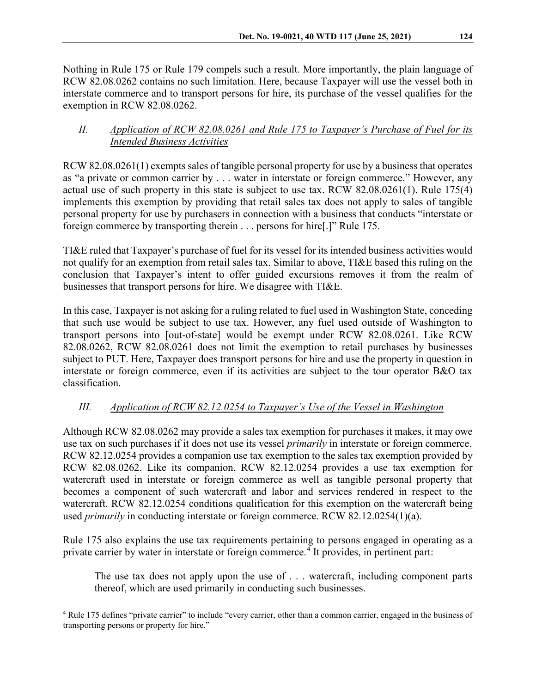Nothing in Rule 175 or Rule 179 compels such a result. More importantly, the plain language of RCW 82.08.0262 contains no such limitation. Here, because Taxpayer will use the vessel both in interstate commerce and to transport persons for hire, its purchase of the vessel qualifies for the exemption in RCW 82.08.0262.

## *II. Application of RCW 82.08.0261 and Rule 175 to Taxpayer's Purchase of Fuel for its Intended Business Activities*

RCW 82.08.0261(1) exempts sales of tangible personal property for use by a business that operates as "a private or common carrier by . . . water in interstate or foreign commerce." However, any actual use of such property in this state is subject to use tax. RCW 82.08.0261(1). Rule 175(4) implements this exemption by providing that retail sales tax does not apply to sales of tangible personal property for use by purchasers in connection with a business that conducts "interstate or foreign commerce by transporting therein . . . persons for hire[.]" Rule 175.

TI&E ruled that Taxpayer's purchase of fuel for its vessel for its intended business activities would not qualify for an exemption from retail sales tax. Similar to above, TI&E based this ruling on the conclusion that Taxpayer's intent to offer guided excursions removes it from the realm of businesses that transport persons for hire. We disagree with TI&E.

In this case, Taxpayer is not asking for a ruling related to fuel used in Washington State, conceding that such use would be subject to use tax. However, any fuel used outside of Washington to transport persons into [out-of-state] would be exempt under RCW 82.08.0261. Like RCW 82.08.0262, RCW 82.08.0261 does not limit the exemption to retail purchases by businesses subject to PUT. Here, Taxpayer does transport persons for hire and use the property in question in interstate or foreign commerce, even if its activities are subject to the tour operator B&O tax classification.

# *III. Application of RCW 82.12.0254 to Taxpayer's Use of the Vessel in Washington*

Although RCW 82.08.0262 may provide a sales tax exemption for purchases it makes, it may owe use tax on such purchases if it does not use its vessel *primarily* in interstate or foreign commerce. RCW 82.12.0254 provides a companion use tax exemption to the sales tax exemption provided by RCW 82.08.0262. Like its companion, RCW 82.12.0254 provides a use tax exemption for watercraft used in interstate or foreign commerce as well as tangible personal property that becomes a component of such watercraft and labor and services rendered in respect to the watercraft. RCW 82.12.0254 conditions qualification for this exemption on the watercraft being used *primarily* in conducting interstate or foreign commerce. RCW 82.12.0254(1)(a).

Rule 175 also explains the use tax requirements pertaining to persons engaged in operating as a private carrier by water in interstate or foreign commerce.<sup>[4](#page-7-0)</sup> It provides, in pertinent part:

The use tax does not apply upon the use of . . . watercraft, including component parts thereof, which are used primarily in conducting such businesses.

<span id="page-7-0"></span> <sup>4</sup> Rule 175 defines "private carrier" to include "every carrier, other than a common carrier, engaged in the business of transporting persons or property for hire."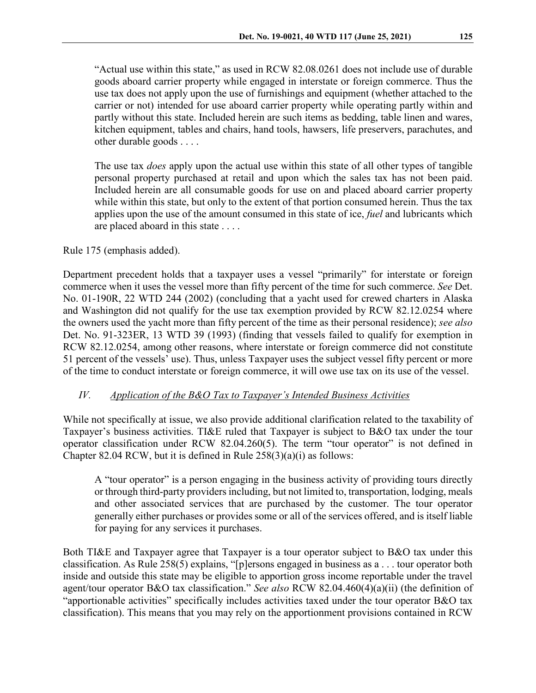"Actual use within this state," as used in RCW 82.08.0261 does not include use of durable goods aboard carrier property while engaged in interstate or foreign commerce. Thus the use tax does not apply upon the use of furnishings and equipment (whether attached to the carrier or not) intended for use aboard carrier property while operating partly within and partly without this state. Included herein are such items as bedding, table linen and wares, kitchen equipment, tables and chairs, hand tools, hawsers, life preservers, parachutes, and other durable goods . . . .

The use tax *does* apply upon the actual use within this state of all other types of tangible personal property purchased at retail and upon which the sales tax has not been paid. Included herein are all consumable goods for use on and placed aboard carrier property while within this state, but only to the extent of that portion consumed herein. Thus the tax applies upon the use of the amount consumed in this state of ice, *fuel* and lubricants which are placed aboard in this state . . . .

### Rule 175 (emphasis added).

Department precedent holds that a taxpayer uses a vessel "primarily" for interstate or foreign commerce when it uses the vessel more than fifty percent of the time for such commerce. *See* Det. No. 01-190R, 22 WTD 244 (2002) (concluding that a yacht used for crewed charters in Alaska and Washington did not qualify for the use tax exemption provided by RCW 82.12.0254 where the owners used the yacht more than fifty percent of the time as their personal residence); *see also*  Det. No. 91-323ER, 13 WTD 39 (1993) (finding that vessels failed to qualify for exemption in RCW 82.12.0254, among other reasons, where interstate or foreign commerce did not constitute 51 percent of the vessels' use). Thus, unless Taxpayer uses the subject vessel fifty percent or more of the time to conduct interstate or foreign commerce, it will owe use tax on its use of the vessel.

## *IV. Application of the B&O Tax to Taxpayer's Intended Business Activities*

While not specifically at issue, we also provide additional clarification related to the taxability of Taxpayer's business activities. TI&E ruled that Taxpayer is subject to B&O tax under the tour operator classification under RCW 82.04.260(5). The term "tour operator" is not defined in Chapter 82.04 RCW, but it is defined in Rule 258(3)(a)(i) as follows:

A "tour operator" is a person engaging in the business activity of providing tours directly or through third-party providers including, but not limited to, transportation, lodging, meals and other associated services that are purchased by the customer. The tour operator generally either purchases or provides some or all of the services offered, and is itself liable for paying for any services it purchases.

Both TI&E and Taxpayer agree that Taxpayer is a tour operator subject to B&O tax under this classification. As Rule 258(5) explains, "[p]ersons engaged in business as a . . . tour operator both inside and outside this state may be eligible to apportion gross income reportable under the travel agent/tour operator B&O tax classification." *See also* RCW 82.04.460(4)(a)(ii) (the definition of "apportionable activities" specifically includes activities taxed under the tour operator B&O tax classification). This means that you may rely on the apportionment provisions contained in RCW